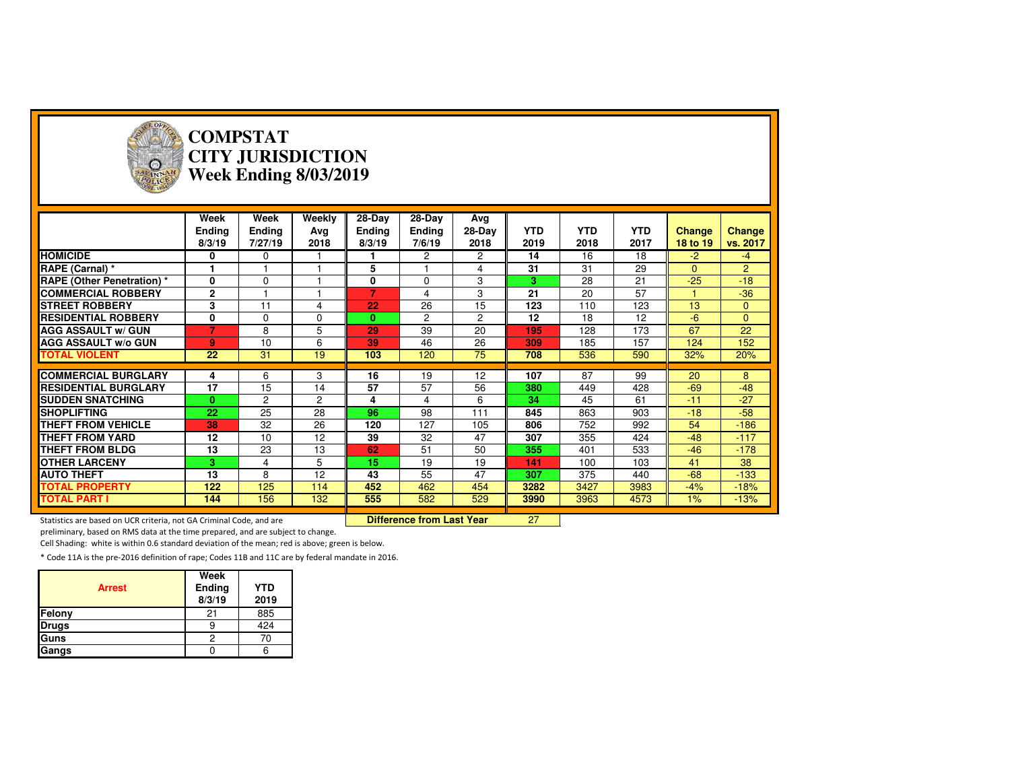

### **COMPSTAT CITY JURISDICTIONWeek Ending 8/03/2019**

|                                   | Week<br><b>Ending</b><br>8/3/19 | Week<br><b>Ending</b><br>7/27/19 | Weekly<br>Avg<br>2018 | $28-Dav$<br><b>Ending</b><br>8/3/19 | 28-Day<br><b>Ending</b><br>7/6/19 | Avg<br>28-Day<br>2018 | <b>YTD</b><br>2019 | <b>YTD</b><br>2018 | <b>YTD</b><br>2017 | <b>Change</b><br>18 to 19 | Change<br>vs. 2017 |
|-----------------------------------|---------------------------------|----------------------------------|-----------------------|-------------------------------------|-----------------------------------|-----------------------|--------------------|--------------------|--------------------|---------------------------|--------------------|
| <b>HOMICIDE</b>                   | 0                               | 0                                |                       |                                     | $\overline{2}$                    | $\overline{2}$        | 14                 | 16                 | 18                 | $-2$                      | $-4$               |
| RAPE (Carnal) *                   |                                 |                                  |                       | 5                                   |                                   | 4                     | 31                 | 31                 | 29                 | $\Omega$                  | $\overline{2}$     |
| <b>RAPE (Other Penetration) *</b> | 0                               | 0                                |                       | 0                                   | $\Omega$                          | 3                     | 3                  | 28                 | 21                 | $-25$                     | $-18$              |
| <b>COMMERCIAL ROBBERY</b>         | $\mathbf{2}$                    |                                  |                       |                                     | 4                                 | 3                     | 21                 | 20                 | 57                 |                           | $-36$              |
| <b>STREET ROBBERY</b>             | 3                               | 11                               | 4                     | 22                                  | 26                                | 15                    | 123                | 110                | 123                | 13                        | $\overline{0}$     |
| <b>RESIDENTIAL ROBBERY</b>        | 0                               | $\Omega$                         | $\Omega$              | $\mathbf{0}$                        | 2                                 | $\overline{c}$        | 12                 | 18                 | 12                 | $-6$                      | $\overline{0}$     |
| <b>AGG ASSAULT w/ GUN</b>         | 7                               | 8                                | 5                     | 29                                  | 39                                | 20                    | 195                | 128                | 173                | 67                        | 22                 |
| <b>AGG ASSAULT w/o GUN</b>        | 9                               | 10                               | 6                     | 39                                  | 46                                | 26                    | 309                | 185                | 157                | 124                       | 152                |
| <b>TOTAL VIOLENT</b>              | 22                              | 31                               | 19                    | 103                                 | 120                               | 75                    | 708                | 536                | 590                | 32%                       | 20%                |
|                                   |                                 |                                  |                       |                                     |                                   |                       |                    |                    |                    |                           |                    |
|                                   |                                 |                                  |                       |                                     |                                   |                       |                    |                    |                    |                           |                    |
| <b>COMMERCIAL BURGLARY</b>        | 4                               | 6                                | 3                     | 16                                  | 19                                | 12                    | 107                | 87                 | 99                 | 20                        | 8                  |
| <b>RESIDENTIAL BURGLARY</b>       | 17                              | 15                               | 14                    | 57                                  | 57                                | 56                    | 380                | 449                | 428                | $-69$                     | $-48$              |
| <b>SUDDEN SNATCHING</b>           | 0                               | $\overline{2}$                   | $\overline{2}$        | 4                                   | 4                                 | 6                     | 34                 | 45                 | 61                 | $-11$                     | $-27$              |
| <b>SHOPLIFTING</b>                | 22                              | 25                               | 28                    | 96                                  | 98                                | 111                   | 845                | 863                | 903                | $-18$                     | $-58$              |
| <b>THEFT FROM VEHICLE</b>         | 38                              | 32                               | 26                    | 120                                 | 127                               | 105                   | 806                | 752                | 992                | 54                        | $-186$             |
| <b>THEFT FROM YARD</b>            | 12                              | 10                               | 12                    | 39                                  | 32                                | 47                    | 307                | 355                | 424                | $-48$                     | $-117$             |
| <b>THEFT FROM BLDG</b>            | 13                              | 23                               | 13                    | 62                                  | 51                                | 50                    | 355                | 401                | 533                | $-46$                     | $-178$             |
| <b>OTHER LARCENY</b>              | 3.                              | 4                                | 5                     | 15                                  | 19                                | 19                    | 141                | 100                | 103                | 41                        | 38                 |
| <b>AUTO THEFT</b>                 | 13                              | 8                                | 12                    | 43                                  | 55                                | 47                    | 307                | 375                | 440                | $-68$                     | $-133$             |
| <b>TOTAL PROPERTY</b>             | 122                             | 125                              | 114                   | 452                                 | 462                               | 454                   | 3282               | 3427               | 3983               | $-4%$                     | $-18%$             |
| <b>TOTAL PART I</b>               | 144                             | 156                              | 132                   | 555                                 | 582                               | 529                   | 3990               | 3963               | 4573               | 1%                        | $-13%$             |

Statistics are based on UCR criteria, not GA Criminal Code, and are **Difference from Last Year** 

preliminary, based on RMS data at the time prepared, and are subject to change.

Cell Shading: white is within 0.6 standard deviation of the mean; red is above; green is below.

| <b>Arrest</b> | Week<br>Ending<br>8/3/19 | <b>YTD</b><br>2019 |
|---------------|--------------------------|--------------------|
| Felony        | 21                       | 885                |
| <b>Drugs</b>  |                          | 424                |
| <b>Guns</b>   |                          | 70                 |
| Gangs         |                          |                    |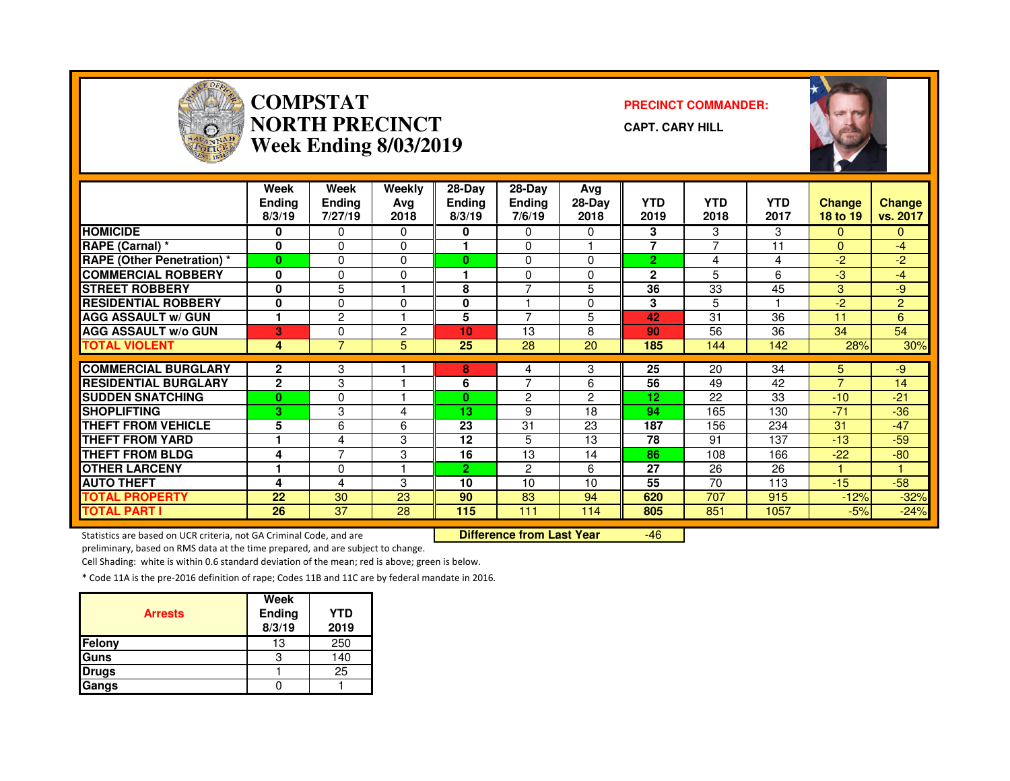

## **COMPSTAT PRECINCT COMMANDER: NORTH PRECINCTWeek Ending 8/03/2019**

**CAPT. CARY HILL**



|                                   | Week<br><b>Ending</b><br>8/3/19 | Week<br>Ending<br>7/27/19 | Weekly<br>Avg<br>2018 | 28-Day<br>Ending<br>8/3/19 | $28-Dav$<br><b>Ending</b><br>7/6/19 | Avg<br>28-Day<br>2018 | <b>YTD</b><br>2019 | <b>YTD</b><br>2018 | <b>YTD</b><br>2017 | <b>Change</b><br>18 to 19 | <b>Change</b><br>vs. 2017 |
|-----------------------------------|---------------------------------|---------------------------|-----------------------|----------------------------|-------------------------------------|-----------------------|--------------------|--------------------|--------------------|---------------------------|---------------------------|
| <b>HOMICIDE</b>                   | 0                               | 0                         | 0                     | 0                          | $\Omega$                            | 0                     | 3                  | 3                  | 3                  | $\Omega$                  | $\mathbf{0}$              |
| RAPE (Carnal) *                   | $\bf{0}$                        | 0                         | $\Omega$              |                            | $\Omega$                            |                       | 7                  | 7                  | 11                 | $\Omega$                  | $-4$                      |
| <b>RAPE (Other Penetration) *</b> | $\bf{0}$                        | 0                         | $\Omega$              | $\bf{0}$                   | $\mathbf{0}$                        | 0                     | $\overline{2}$     | 4                  | 4                  | $-2$                      | $-2$                      |
| <b>COMMERCIAL ROBBERY</b>         | 0                               | 0                         | 0                     |                            | $\Omega$                            | <sup>0</sup>          | $\mathbf{2}$       | 5                  | 6                  | $-3$                      | $-4$                      |
| <b>STREET ROBBERY</b>             | 0                               | 5                         |                       | 8                          | $\overline{7}$                      | 5                     | 36                 | 33                 | 45                 | 3                         | -9                        |
| <b>RESIDENTIAL ROBBERY</b>        | 0                               | 0                         | $\Omega$              | 0                          |                                     | 0                     | 3                  | 5                  |                    | -2                        | $\overline{2}$            |
| <b>AGG ASSAULT w/ GUN</b>         | 1                               | 2                         |                       | 5                          | $\overline{ }$                      | 5                     | 42                 | 31                 | 36                 | 11                        | 6                         |
| <b>AGG ASSAULT w/o GUN</b>        | 3                               | 0                         | $\overline{c}$        | 10                         | 13                                  | 8                     | 90                 | 56                 | 36                 | 34                        | 54                        |
| <b>TOTAL VIOLENT</b>              | 4                               |                           | 5                     | 25                         | 28                                  | 20                    | 185                | 144                | 142                | 28%                       | 30%                       |
|                                   |                                 |                           |                       |                            |                                     |                       |                    |                    |                    |                           |                           |
| <b>COMMERCIAL BURGLARY</b>        | $\mathbf{2}$                    | 3                         |                       | 8                          | 4                                   | 3                     | 25                 | 20                 | 34                 | 5                         | $-9$                      |
| <b>RESIDENTIAL BURGLARY</b>       | $\mathbf{2}$                    | 3                         |                       | 6                          | $\overline{7}$                      | 6                     | 56                 | 49                 | 42                 | $\overline{7}$            | 14                        |
| <b>SUDDEN SNATCHING</b>           | $\bf{0}$                        | 0                         |                       | 0                          | 2                                   | 2                     | 12                 | 22                 | 33                 | $-10$                     | $-21$                     |
| <b>SHOPLIFTING</b>                | 3                               | 3                         | 4                     | 13                         | 9                                   | 18                    | 94                 | 165                | 130                | $-71$                     | $-36$                     |
| <b>THEFT FROM VEHICLE</b>         | 5                               | 6                         | 6                     | 23                         | 31                                  | 23                    | 187                | 156                | 234                | 31                        | $-47$                     |
| <b>THEFT FROM YARD</b>            |                                 | 4                         | 3                     | 12                         | 5                                   | 13                    | 78                 | 91                 | 137                | $-13$                     | $-59$                     |
| <b>THEFT FROM BLDG</b>            | 4                               | 7                         | 3                     | 16                         | 13                                  | 14                    | 86                 | 108                | 166                | $-22$                     | $-80$                     |
| <b>IOTHER LARCENY</b>             |                                 | 0                         |                       | $\overline{2}$             | $\overline{2}$                      | 6                     | 27                 | 26                 | 26                 |                           |                           |
| <b>AUTO THEFT</b>                 | 4                               | 4                         | 3                     | 10                         | 10                                  | 10                    | 55                 | 70                 | 113                | $-15$                     | $-58$                     |
| <b>TOTAL PROPERTY</b>             | 22                              | 30                        | 23                    | 90                         | 83                                  | 94                    | 620                | 707                | 915                | $-12%$                    | $-32%$                    |
| <b>TOTAL PART I</b>               | 26                              | 37                        | 28                    | 115                        | 111                                 | 114                   | 805                | 851                | 1057               | $-5%$                     | $-24%$                    |

Statistics are based on UCR criteria, not GA Criminal Code, and are **Difference from Last Year** 

-46

preliminary, based on RMS data at the time prepared, and are subject to change.

Cell Shading: white is within 0.6 standard deviation of the mean; red is above; green is below.

| <b>Arrests</b> | Week<br>Ending<br>8/3/19 | YTD<br>2019 |
|----------------|--------------------------|-------------|
| <b>Felony</b>  | 13                       | 250         |
| <b>Guns</b>    |                          | 140         |
| <b>Drugs</b>   |                          | 25          |
| Gangs          |                          |             |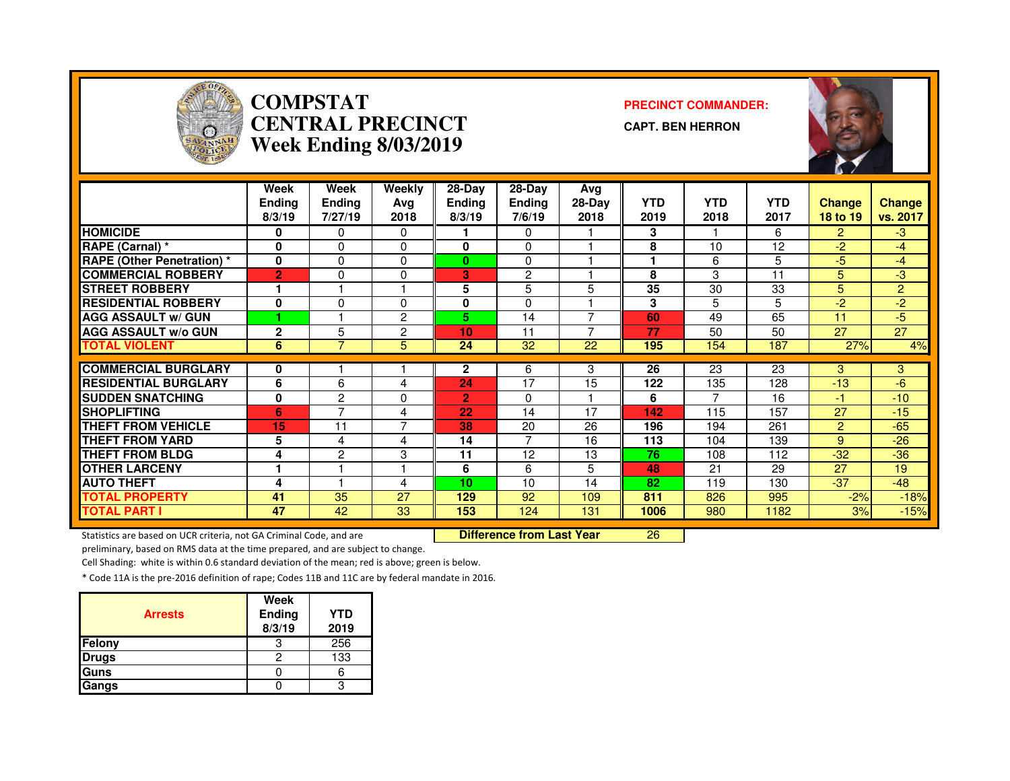

## **COMPSTAT PRECINCT COMMANDER: CENTRAL PRECINCTWeek Ending 8/03/2019**

**CAPT. BEN HERRON**



|                                   | Week<br>Ending<br>8/3/19 | Week<br><b>Endina</b><br>7/27/19 | Weekly<br>Ava<br>2018 | 28-Day<br>Endina<br>8/3/19 | 28-Dav<br><b>Ending</b><br>7/6/19 | Avg<br>28-Day<br>2018 | <b>YTD</b><br>2019 | <b>YTD</b><br>2018 | <b>YTD</b><br>2017 | <b>Change</b><br>18 to 19 | <b>Change</b><br>vs. 2017 |
|-----------------------------------|--------------------------|----------------------------------|-----------------------|----------------------------|-----------------------------------|-----------------------|--------------------|--------------------|--------------------|---------------------------|---------------------------|
| <b>HOMICIDE</b>                   | 0                        | 0                                | $\Omega$              |                            | 0                                 |                       | 3                  |                    | 6                  | $\mathbf{P}$              | $-3$                      |
| RAPE (Carnal) *                   | 0                        | 0                                | 0                     | 0                          | $\Omega$                          |                       | 8                  | 10                 | 12                 | -2.                       | $-4$                      |
| <b>RAPE (Other Penetration) *</b> | 0                        | $\Omega$                         | $\Omega$              | $\bf{0}$                   | $\Omega$                          |                       | ٠                  | 6                  | 5                  | $-5$                      | $-4$                      |
| <b>COMMERCIAL ROBBERY</b>         | $\overline{2}$           | 0                                | $\Omega$              | 3                          | 2                                 |                       | 8                  | 3                  | 11                 | 5                         | $-3$                      |
| <b>STREET ROBBERY</b>             | 1                        |                                  |                       | 5                          | 5                                 | 5                     | 35                 | 30                 | 33                 | 5                         | $\overline{2}$            |
| <b>RESIDENTIAL ROBBERY</b>        | 0                        | 0                                | $\Omega$              | 0                          | $\Omega$                          |                       | 3                  | 5                  | 5                  | -2                        | $-2$                      |
| <b>AGG ASSAULT w/ GUN</b>         |                          |                                  | $\overline{2}$        | 5.                         | 14                                |                       | 60                 | 49                 | 65                 | 11                        | $-5$                      |
| <b>AGG ASSAULT w/o GUN</b>        | $\overline{2}$           | 5                                | $\overline{2}$        | 10                         | 11                                |                       | 77                 | 50                 | 50                 | 27                        | 27                        |
| <b>TOTAL VIOLENT</b>              | 6                        | $\overline{7}$                   | 5                     | 24                         | 32                                | 22                    | 195                | 154                | 187                | 27%                       | 4%                        |
| <b>COMMERCIAL BURGLARY</b>        |                          |                                  |                       | $\mathbf{2}$               | 6                                 | 3                     | 26                 | 23                 | 23                 | 3                         | 3 <sup>1</sup>            |
| <b>RESIDENTIAL BURGLARY</b>       | 0                        |                                  |                       |                            | 17                                |                       |                    |                    |                    |                           |                           |
|                                   | 6                        | 6                                | 4                     | 24                         |                                   | 15                    | 122                | 135                | 128                | $-13$                     | -6                        |
| <b>SUDDEN SNATCHING</b>           | 0                        | 2<br>7                           | 0                     | $\overline{2}$             | $\Omega$                          |                       | 6                  |                    | 16                 | -1                        | $-10$                     |
| <b>SHOPLIFTING</b>                | 6                        |                                  | 4                     | 22                         | 14                                | 17                    | 142                | 115                | 157                | 27                        | $-15$                     |
| <b>THEFT FROM VEHICLE</b>         | 15                       | 11                               | $\overline{7}$        | 38                         | 20                                | 26                    | 196                | 194                | 261                | $\overline{2}$            | $-65$                     |
| <b>THEFT FROM YARD</b>            | 5                        | 4                                | 4                     | 14                         | 7                                 | 16                    | 113                | 104                | 139                | 9                         | $-26$                     |
| <b>THEFT FROM BLDG</b>            | 4                        | $\overline{c}$                   | 3                     | 11                         | 12                                | 13                    | 76                 | 108                | 112                | $-32$                     | $-36$                     |
| <b>OTHER LARCENY</b>              | -1                       |                                  |                       | 6                          | 6                                 | 5.                    | 48                 | 21                 | 29                 | 27                        | 19                        |
| <b>AUTO THEFT</b>                 | 4                        |                                  | 4                     | 10                         | 10                                | 14                    | 82                 | 119                | 130                | $-37$                     | $-48$                     |
| <b>TOTAL PROPERTY</b>             | 41                       | 35                               | 27                    | 129                        | 92                                | 109                   | 811                | 826                | 995                | $-2%$                     | $-18%$                    |
| <b>TOTAL PART I</b>               | 47                       | 42                               | 33                    | 153                        | 124                               | 131                   | 1006               | 980                | 1182               | 3%                        | $-15%$                    |

Statistics are based on UCR criteria, not GA Criminal Code, and are **Difference from Last Year** 

<sup>26</sup>

preliminary, based on RMS data at the time prepared, and are subject to change.

Cell Shading: white is within 0.6 standard deviation of the mean; red is above; green is below.

| <b>Arrests</b> | Week<br>Ending<br>8/3/19 | <b>YTD</b><br>2019 |
|----------------|--------------------------|--------------------|
| Felony         |                          | 256                |
| <b>Drugs</b>   |                          | 133                |
| Guns           |                          |                    |
| Gangs          |                          |                    |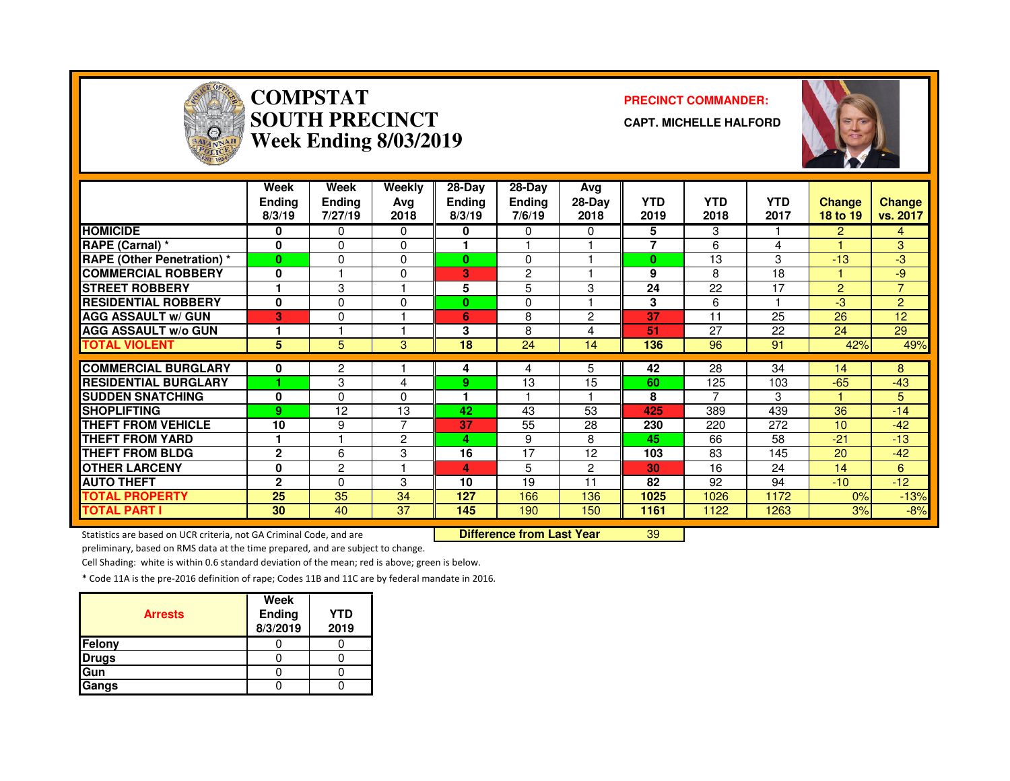

# **COMPSTAT PRECINCT COMMANDER: SOUTH PRECINCTWeek Ending 8/03/2019**

**CAPT. MICHELLE HALFORD**



|                                   | Week<br><b>Ending</b><br>8/3/19 | Week<br><b>Ending</b><br>7/27/19 | Weekly<br>Avg<br>2018 | $28-Dav$<br>Ending<br>8/3/19 | $28-Dav$<br><b>Ending</b><br>7/6/19 | Avg<br>$28-Day$<br>2018 | <b>YTD</b><br>2019 | <b>YTD</b><br>2018 | <b>YTD</b><br>2017 | <b>Change</b><br>18 to 19 | <b>Change</b><br>vs. 2017 |
|-----------------------------------|---------------------------------|----------------------------------|-----------------------|------------------------------|-------------------------------------|-------------------------|--------------------|--------------------|--------------------|---------------------------|---------------------------|
| <b>HOMICIDE</b>                   | 0                               | 0                                | $\mathbf{0}$          | 0                            | 0                                   | 0                       | 5                  | 3                  |                    | $\overline{2}$            | 4                         |
| RAPE (Carnal) *                   | 0                               | 0                                | $\Omega$              |                              |                                     |                         | $\overline{7}$     | 6                  | 4                  |                           | 3                         |
| <b>RAPE (Other Penetration)</b> * | $\bf{0}$                        | $\Omega$                         | 0                     | 0                            | $\Omega$                            |                         | $\bf{0}$           | 13                 | 3                  | $-13$                     | $-3$                      |
| <b>COMMERCIAL ROBBERY</b>         | 0                               |                                  | $\Omega$              | 3                            | 2                                   |                         | 9                  | 8                  | 18                 |                           | $-9$                      |
| <b>STREET ROBBERY</b>             |                                 | 3                                |                       | 5                            | 5                                   | 3                       | 24                 | 22                 | 17                 | $\overline{2}$            | $\overline{7}$            |
| <b>RESIDENTIAL ROBBERY</b>        | 0                               | $\Omega$                         | $\mathbf{0}$          | 0                            | 0                                   |                         | 3                  | 6                  |                    | $-3$                      | $\overline{2}$            |
| <b>AGG ASSAULT w/ GUN</b>         | 3                               | $\mathbf{0}$                     |                       | 6                            | 8                                   | 2                       | 37                 | 11                 | 25                 | 26                        | 12                        |
| <b>AGG ASSAULT w/o GUN</b>        |                                 |                                  |                       | 3                            | 8                                   | 4                       | 51                 | 27                 | 22                 | 24                        | 29                        |
| <b>TOTAL VIOLENT</b>              | 5                               | 5                                | 3                     | 18                           | 24                                  | 14                      | 136                | 96                 | 91                 | 42%                       | 49%                       |
| <b>COMMERCIAL BURGLARY</b>        | 0                               | 2                                |                       | 4                            | 4                                   | 5                       | 42                 | 28                 | 34                 | 14                        | 8                         |
| <b>RESIDENTIAL BURGLARY</b>       |                                 | 3                                |                       | 9                            | 13                                  | 15                      | 60                 | 125                | 103                | $-65$                     | $-43$                     |
|                                   |                                 |                                  | 4                     |                              |                                     |                         |                    |                    |                    |                           |                           |
| <b>SUDDEN SNATCHING</b>           | 0                               | 0                                | $\Omega$              |                              |                                     |                         | 8                  |                    | 3                  |                           | 5                         |
| <b>SHOPLIFTING</b>                | 9                               | 12                               | 13                    | 42                           | 43                                  | 53                      | 425                | 389                | 439                | 36                        | $-14$                     |
| <b>THEFT FROM VEHICLE</b>         | 10                              | 9                                | 7                     | 37                           | 55                                  | 28                      | 230                | 220                | 272                | 10 <sup>1</sup>           | $-42$                     |
| <b>THEFT FROM YARD</b>            |                                 |                                  | $\overline{c}$        | 4                            | 9                                   | 8                       | 45                 | 66                 | 58                 | $-21$                     | $-13$                     |
| <b>THEFT FROM BLDG</b>            | $\mathbf{2}$                    | 6                                | 3                     | 16                           | 17                                  | 12                      | 103                | 83                 | 145                | 20                        | $-42$                     |
| <b>OTHER LARCENY</b>              | 0                               | $\overline{2}$                   |                       | 4                            | 5                                   | $\overline{2}$          | 30                 | 16                 | 24                 | 14                        | 6                         |
| <b>AUTO THEFT</b>                 | $\mathbf{2}$                    | $\Omega$                         | 3                     | 10                           | 19                                  | 11                      | 82                 | 92                 | 94                 | $-10$                     | $-12$                     |
| <b>TOTAL PROPERTY</b>             | 25                              | 35                               | 34                    | 127                          | 166                                 | 136                     | 1025               | 1026               | 1172               | 0%                        | $-13%$                    |
| <b>TOTAL PART I</b>               | 30                              | 40                               | 37                    | 145                          | 190                                 | 150                     | 1161               | 1122               | 1263               | 3%                        | $-8%$                     |

Statistics are based on UCR criteria, not GA Criminal Code, and are **Difference from Last Year** 

<sup>39</sup>

preliminary, based on RMS data at the time prepared, and are subject to change.

Cell Shading: white is within 0.6 standard deviation of the mean; red is above; green is below.

| <b>Arrests</b> | Week<br>Ending<br>8/3/2019 | YTD<br>2019 |
|----------------|----------------------------|-------------|
| Felony         |                            |             |
| <b>Drugs</b>   |                            |             |
| Gun            |                            |             |
| Gangs          |                            |             |